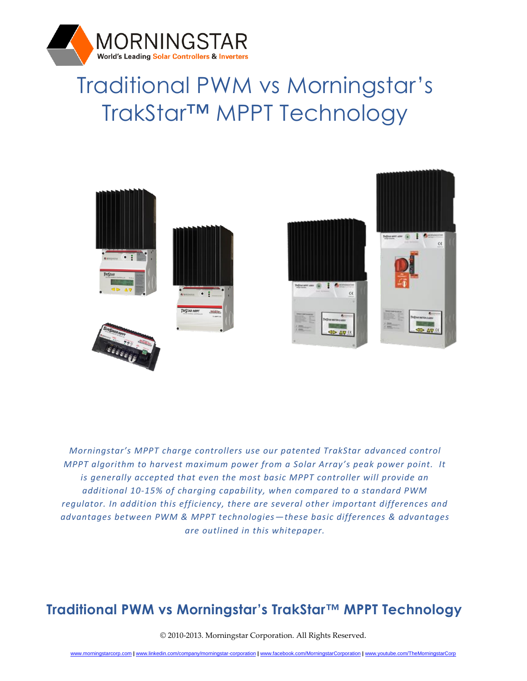

# Traditional PWM vs Morningstar's TrakStar™ MPPT Technology



*Morningstar's MPPT charge controllers use our patented TrakStar advanced control MPPT algorithm to harvest maximum power from a Solar Array's peak power point. It is generally accepted that even the most basic MPPT controller will provide an additional 10‐15% of charging capability, when compared to a standard PWM regulator. In addition this efficiency, there are several other important differences and advantages between PWM & MPPT technologies—these basic differences & advantages are outlined in this whitepaper.*

#### **Traditional PWM vs Morningstar's TrakStar™ MPPT Technology**

© 2010-2013. Morningstar Corporation. All Rights Reserved.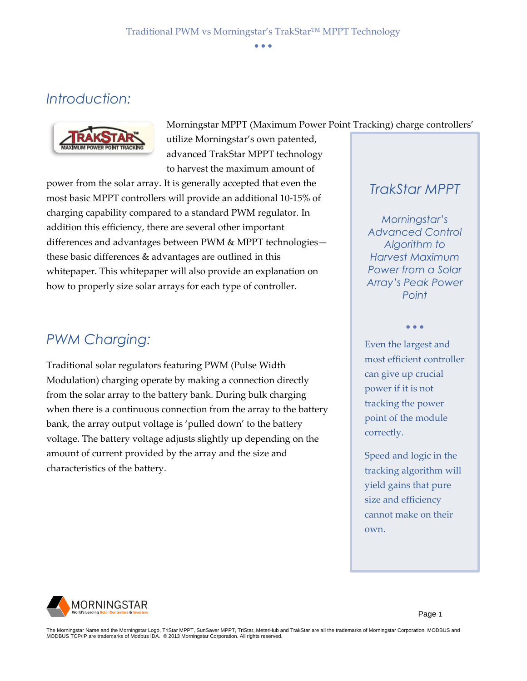Morningstar MPPT (Maximum Power Point Tracking) charge controllers'

### *Introduction:*



utilize Morningstar's own patented, advanced TrakStar MPPT technology to harvest the maximum amount of

power from the solar array. It is generally accepted that even the most basic MPPT controllers will provide an additional 10‐15% of charging capability compared to a standard PWM regulator. In addition this efficiency, there are several other important differences and advantages between PWM & MPPT technologies these basic differences & advantages are outlined in this whitepaper. This whitepaper will also provide an explanation on how to properly size solar arrays for each type of controller.

#### *PWM Charging:*

Traditional solar regulators featuring PWM (Pulse Width Modulation) charging operate by making a connection directly from the solar array to the battery bank. During bulk charging when there is a continuous connection from the array to the battery bank, the array output voltage is 'pulled down' to the battery voltage. The battery voltage adjusts slightly up depending on the amount of current provided by the array and the size and characteristics of the battery.

*TrakStar MPPT*

*Morningstar's Advanced Control Algorithm to Harvest Maximum Power from a Solar Array's Peak Power Point* 

Even the largest and most efficient controller can give up crucial power if it is not tracking the power point of the module correctly.

• • •

Speed and logic in the tracking algorithm will yield gains that pure size and efficiency cannot make on their own.



Page 1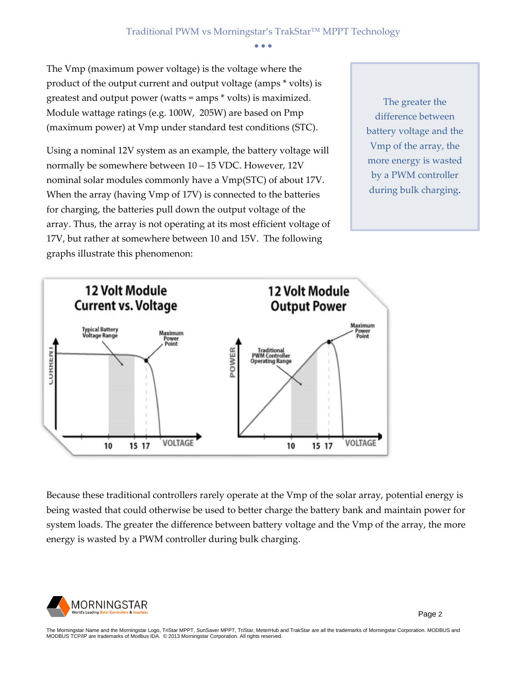The Vmp (maximum power voltage) is the voltage where the product of the output current and output voltage (amps \* volts) is greatest and output power (watts = amps \* volts) is maximized. Module wattage ratings (e.g. 100W, 205W) are based on Pmp (maximum power) at Vmp under standard test conditions (STC).

Using a nominal 12V system as an example, the battery voltage will normally be somewhere between 10 – 15 VDC. However, 12V nominal solar modules commonly have a Vmp(STC) of about 17V. When the array (having Vmp of 17V) is connected to the batteries for charging, the batteries pull down the output voltage of the array. Thus, the array is not operating at its most efficient voltage of 17V, but rather at somewhere between 10 and 15V. The following graphs illustrate this phenomenon:

The greater the difference between battery voltage and the Vmp of the array, the more energy is wasted by a PWM controller during bulk charging.



Because these traditional controllers rarely operate at the Vmp of the solar array, potential energy is being wasted that could otherwise be used to better charge the battery bank and maintain power for system loads. The greater the difference between battery voltage and the Vmp of the array, the more energy is wasted by a PWM controller during bulk charging.



Page 2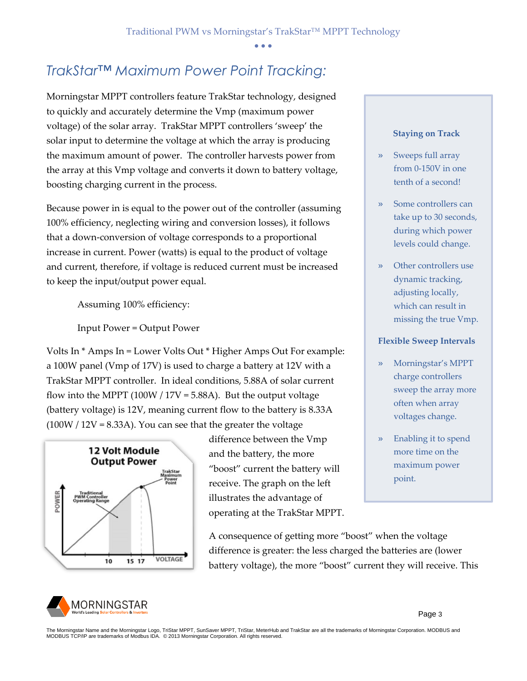#### *TrakStar™ Maximum Power Point Tracking:*

Morningstar MPPT controllers feature TrakStar technology, designed to quickly and accurately determine the Vmp (maximum power voltage) of the solar array. TrakStar MPPT controllers 'sweep' the solar input to determine the voltage at which the array is producing the maximum amount of power. The controller harvests power from the array at this Vmp voltage and converts it down to battery voltage, boosting charging current in the process.

Because power in is equal to the power out of the controller (assuming 100% efficiency, neglecting wiring and conversion losses), it follows that a down‐conversion of voltage corresponds to a proportional increase in current. Power (watts) is equal to the product of voltage and current, therefore, if voltage is reduced current must be increased to keep the input/output power equal.

Assuming 100% efficiency:

Input Power = Output Power

Volts In \* Amps In = Lower Volts Out \* Higher Amps Out For example: a 100W panel (Vmp of 17V) is used to charge a battery at 12V with a TrakStar MPPT controller. In ideal conditions, 5.88A of solar current flow into the MPPT (100W /  $17V = 5.88$ A). But the output voltage (battery voltage) is 12V, meaning current flow to the battery is 8.33A  $(100W / 12V = 8.33A)$ . You can see that the greater the voltage



difference between the Vmp and the battery, the more "boost" current the battery will receive. The graph on the left illustrates the advantage of operating at the TrakStar MPPT.

A consequence of getting more "boost" when the voltage difference is greater: the less charged the batteries are (lower battery voltage), the more "boost" current they will receive. This



#### **Staying on Track**

- Sweeps full array from 0-150V in one tenth of a second!
- Some controllers can take up to 30 seconds, during which power levels could change.
- Other controllers use dynamic tracking, adjusting locally, which can result in missing the true Vmp.

#### **Flexible Sweep Intervals**

- » Morningstar's MPPT charge controllers sweep the array more often when array voltages change.
- » Enabling it to spend more time on the maximum power point.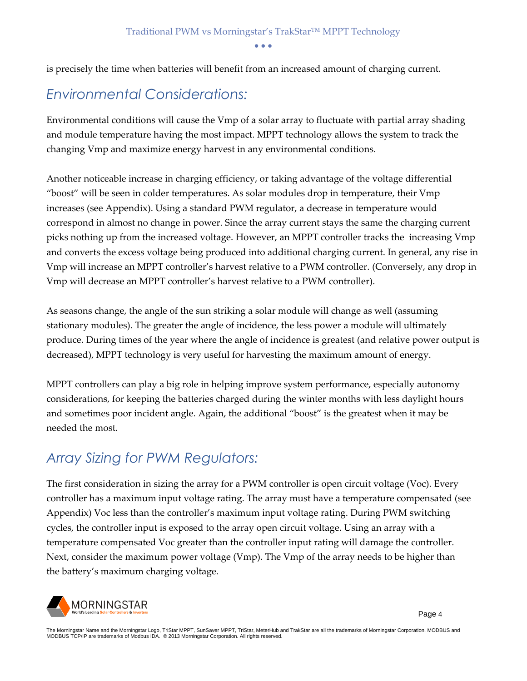is precisely the time when batteries will benefit from an increased amount of charging current.

#### *Environmental Considerations:*

Environmental conditions will cause the Vmp of a solar array to fluctuate with partial array shading and module temperature having the most impact. MPPT technology allows the system to track the changing Vmp and maximize energy harvest in any environmental conditions.

Another noticeable increase in charging efficiency, or taking advantage of the voltage differential "boost" will be seen in colder temperatures. As solar modules drop in temperature, their Vmp increases (see Appendix). Using a standard PWM regulator, a decrease in temperature would correspond in almost no change in power. Since the array current stays the same the charging current picks nothing up from the increased voltage. However, an MPPT controller tracks the increasing Vmp and converts the excess voltage being produced into additional charging current. In general, any rise in Vmp will increase an MPPT controller's harvest relative to a PWM controller. (Conversely, any drop in Vmp will decrease an MPPT controller's harvest relative to a PWM controller).

As seasons change, the angle of the sun striking a solar module will change as well (assuming stationary modules). The greater the angle of incidence, the less power a module will ultimately produce. During times of the year where the angle of incidence is greatest (and relative power output is decreased), MPPT technology is very useful for harvesting the maximum amount of energy.

MPPT controllers can play a big role in helping improve system performance, especially autonomy considerations, for keeping the batteries charged during the winter months with less daylight hours and sometimes poor incident angle. Again, the additional "boost" is the greatest when it may be needed the most.

#### *Array Sizing for PWM Regulators:*

The first consideration in sizing the array for a PWM controller is open circuit voltage (Voc). Every controller has a maximum input voltage rating. The array must have a temperature compensated (see Appendix) Voc less than the controller's maximum input voltage rating. During PWM switching cycles, the controller input is exposed to the array open circuit voltage. Using an array with a temperature compensated Voc greater than the controller input rating will damage the controller. Next, consider the maximum power voltage (Vmp). The Vmp of the array needs to be higher than the battery's maximum charging voltage.

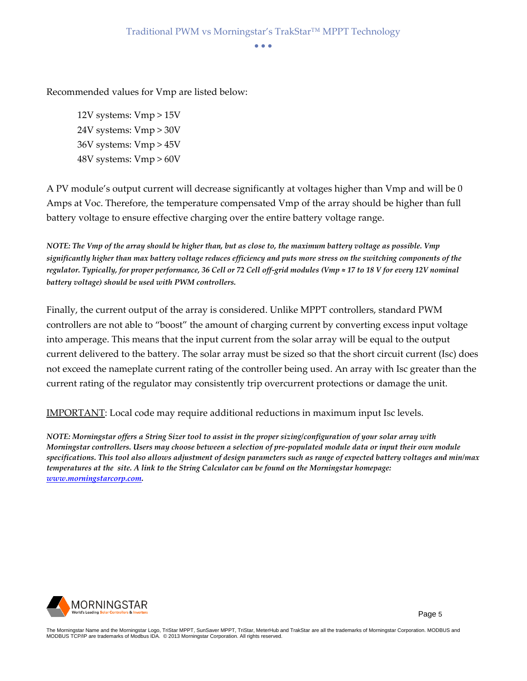Recommended values for Vmp are listed below:

12V systems: Vmp > 15V 24V systems: Vmp > 30V 36V systems: Vmp > 45V 48V systems: Vmp > 60V

A PV module's output current will decrease significantly at voltages higher than Vmp and will be 0 Amps at Voc. Therefore, the temperature compensated Vmp of the array should be higher than full battery voltage to ensure effective charging over the entire battery voltage range.

*NOTE: The Vmp of the array should be higher than, but as close to, the maximum battery voltage as possible. Vmp significantly higher than max battery voltage reduces efficiency and puts more stress on the switching components of the regulator. Typically, for proper performance, 36 Cell or 72 Cell off‐grid modules (Vmp ≈ 17 to 18 V for every 12V nominal battery voltage) should be used with PWM controllers.*

Finally, the current output of the array is considered. Unlike MPPT controllers, standard PWM controllers are not able to "boost" the amount of charging current by converting excess input voltage into amperage. This means that the input current from the solar array will be equal to the output current delivered to the battery. The solar array must be sized so that the short circuit current (Isc) does not exceed the nameplate current rating of the controller being used. An array with Isc greater than the current rating of the regulator may consistently trip overcurrent protections or damage the unit.

IMPORTANT: Local code may require additional reductions in maximum input Isc levels.

*NOTE: Morningstar offers a String Sizer tool to assist in the proper sizing/configuration of your solar array with Morningstar controllers. Users may choose between a selection of pre‐populated module data or input their own module specifications. This tool also allows adjustment of design parameters such as range of expected battery voltages and min/max temperatures at the site. A link to the String Calculator can be found on the Morningstar homepage: [www.morningstarcorp.com.](http://www.morningstarcorp.com/)*

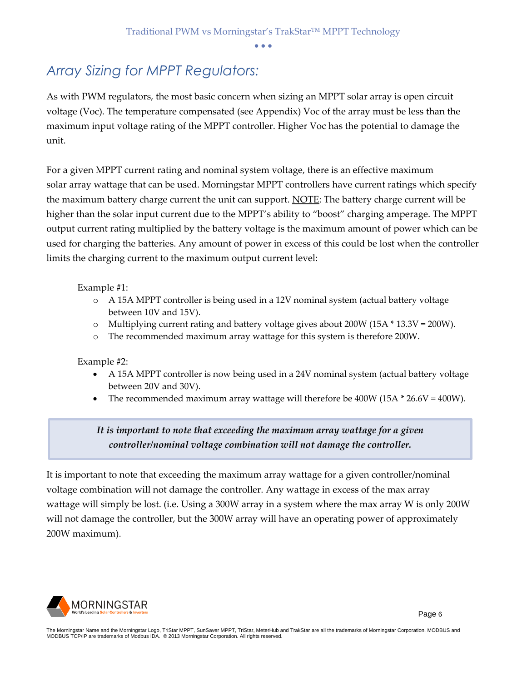#### *Array Sizing for MPPT Regulators:*

As with PWM regulators, the most basic concern when sizing an MPPT solar array is open circuit voltage (Voc). The temperature compensated (see Appendix) Voc of the array must be less than the maximum input voltage rating of the MPPT controller. Higher Voc has the potential to damage the unit.

For a given MPPT current rating and nominal system voltage, there is an effective maximum solar array wattage that can be used. Morningstar MPPT controllers have current ratings which specify the maximum battery charge current the unit can support. NOTE: The battery charge current will be higher than the solar input current due to the MPPT's ability to "boost" charging amperage. The MPPT output current rating multiplied by the battery voltage is the maximum amount of power which can be used for charging the batteries. Any amount of power in excess of this could be lost when the controller limits the charging current to the maximum output current level:

Example #1:

- o A 15A MPPT controller is being used in a 12V nominal system (actual battery voltage between 10V and 15V).
- $\circ$  Multiplying current rating and battery voltage gives about 200W (15A  $*$  13.3V = 200W).
- o The recommended maximum array wattage for this system is therefore 200W.

Example #2:

- A 15A MPPT controller is now being used in a 24V nominal system (actual battery voltage between 20V and 30V).
- The recommended maximum array wattage will therefore be 400W (15A  $*$  26.6V = 400W).

#### *It is important to note that exceeding the maximum array wattage for a given controller/nominal voltage combination will not damage the controller.*

It is important to note that exceeding the maximum array wattage for a given controller/nominal voltage combination will not damage the controller. Any wattage in excess of the max array wattage will simply be lost. (i.e. Using a 300W array in a system where the max array W is only 200W will not damage the controller, but the 300W array will have an operating power of approximately 200W maximum).

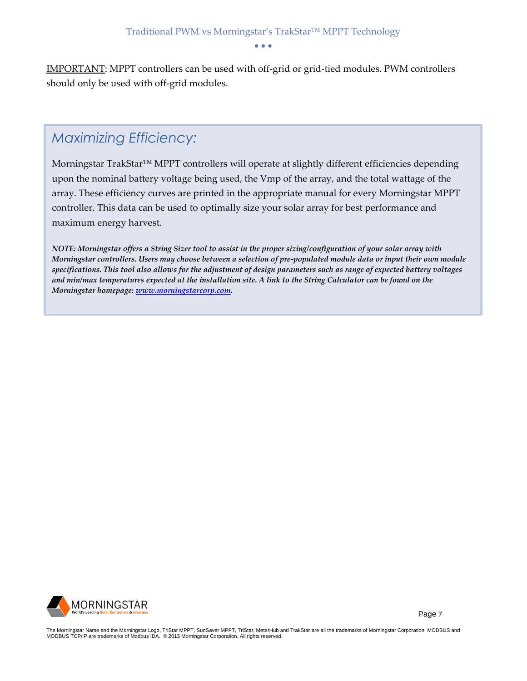IMPORTANT: MPPT controllers can be used with off‐grid or grid-tied modules. PWM controllers should only be used with off‐grid modules.

### *Maximizing Efficiency:*

Morningstar TrakStar™ MPPT controllers will operate at slightly different efficiencies depending upon the nominal battery voltage being used, the Vmp of the array, and the total wattage of the array. These efficiency curves are printed in the appropriate manual for every Morningstar MPPT controller. This data can be used to optimally size your solar array for best performance and maximum energy harvest.

*NOTE: Morningstar offers a String Sizer tool to assist in the proper sizing/configuration of your solar array with Morningstar controllers. Users may choose between a selection of pre‐populated module data or input their own module specifications. This tool also allows for the adjustment of design parameters such as range of expected battery voltages and min/max temperatures expected at the installation site. A link to the String Calculator can be found on the Morningstar homepage: [www.morningstarcorp.com.](http://www.morningstarcorp.com/)*



Page 7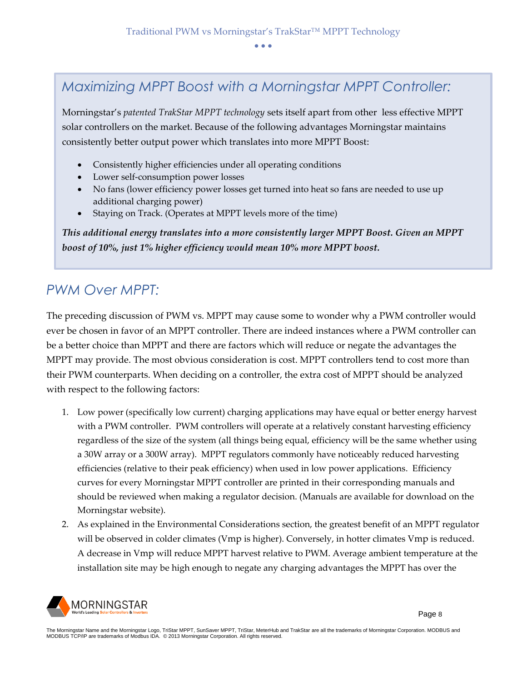#### *Maximizing MPPT Boost with a Morningstar MPPT Controller:*

Morningstar's *patented TrakStar MPPT technology* sets itself apart from other less effective MPPT solar controllers on the market. Because of the following advantages Morningstar maintains consistently better output power which translates into more MPPT Boost:

- Consistently higher efficiencies under all operating conditions
- Lower self-consumption power losses
- No fans (lower efficiency power losses get turned into heat so fans are needed to use up additional charging power)
- Staying on Track. (Operates at MPPT levels more of the time)

*This additional energy translates into a more consistently larger MPPT Boost. Given an MPPT boost of 10%, just 1% higher efficiency would mean 10% more MPPT boost.*

#### *PWM Over MPPT:*

The preceding discussion of PWM vs. MPPT may cause some to wonder why a PWM controller would ever be chosen in favor of an MPPT controller. There are indeed instances where a PWM controller can be a better choice than MPPT and there are factors which will reduce or negate the advantages the MPPT may provide. The most obvious consideration is cost. MPPT controllers tend to cost more than their PWM counterparts. When deciding on a controller, the extra cost of MPPT should be analyzed with respect to the following factors:

- 1. Low power (specifically low current) charging applications may have equal or better energy harvest with a PWM controller. PWM controllers will operate at a relatively constant harvesting efficiency regardless of the size of the system (all things being equal, efficiency will be the same whether using a 30W array or a 300W array). MPPT regulators commonly have noticeably reduced harvesting efficiencies (relative to their peak efficiency) when used in low power applications. Efficiency curves for every Morningstar MPPT controller are printed in their corresponding manuals and should be reviewed when making a regulator decision. (Manuals are available for download on the Morningstar website).
- 2. As explained in the Environmental Considerations section, the greatest benefit of an MPPT regulator will be observed in colder climates (Vmp is higher). Conversely, in hotter climates Vmp is reduced. A decrease in Vmp will reduce MPPT harvest relative to PWM. Average ambient temperature at the installation site may be high enough to negate any charging advantages the MPPT has over the

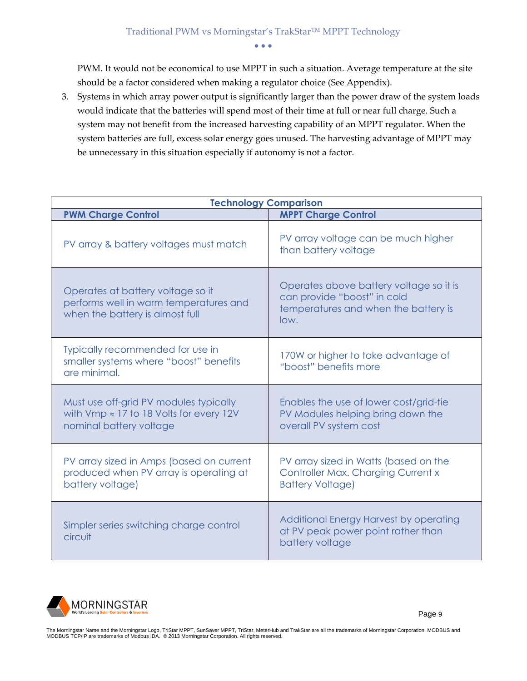PWM. It would not be economical to use MPPT in such a situation. Average temperature at the site should be a factor considered when making a regulator choice (See Appendix).

3. Systems in which array power output is significantly larger than the power draw of the system loads would indicate that the batteries will spend most of their time at full or near full charge. Such a system may not benefit from the increased harvesting capability of an MPPT regulator. When the system batteries are full, excess solar energy goes unused. The harvesting advantage of MPPT may be unnecessary in this situation especially if autonomy is not a factor.

| <b>Technology Comparison</b>                                                                                         |                                                                                                                        |  |  |  |  |  |
|----------------------------------------------------------------------------------------------------------------------|------------------------------------------------------------------------------------------------------------------------|--|--|--|--|--|
| <b>PWM Charge Control</b>                                                                                            | <b>MPPT Charge Control</b>                                                                                             |  |  |  |  |  |
| PV array & battery voltages must match                                                                               | PV array voltage can be much higher<br>than battery voltage                                                            |  |  |  |  |  |
| Operates at battery voltage so it<br>performs well in warm temperatures and<br>when the battery is almost full       | Operates above battery voltage so it is<br>can provide "boost" in cold<br>temperatures and when the battery is<br>low. |  |  |  |  |  |
| Typically recommended for use in<br>smaller systems where "boost" benefits<br>are minimal.                           | 170W or higher to take advantage of<br>"boost" benefits more                                                           |  |  |  |  |  |
| Must use off-grid PV modules typically<br>with Vmp $\approx$ 17 to 18 Volts for every 12V<br>nominal battery voltage | Enables the use of lower cost/grid-tie<br>PV Modules helping bring down the<br>overall PV system cost                  |  |  |  |  |  |
| PV array sized in Amps (based on current<br>produced when PV array is operating at<br>battery voltage)               | PV array sized in Watts (based on the<br>Controller Max. Charging Current x<br><b>Battery Voltage)</b>                 |  |  |  |  |  |
| Simpler series switching charge control<br>circuit                                                                   | Additional Energy Harvest by operating<br>at PV peak power point rather than<br>battery voltage                        |  |  |  |  |  |

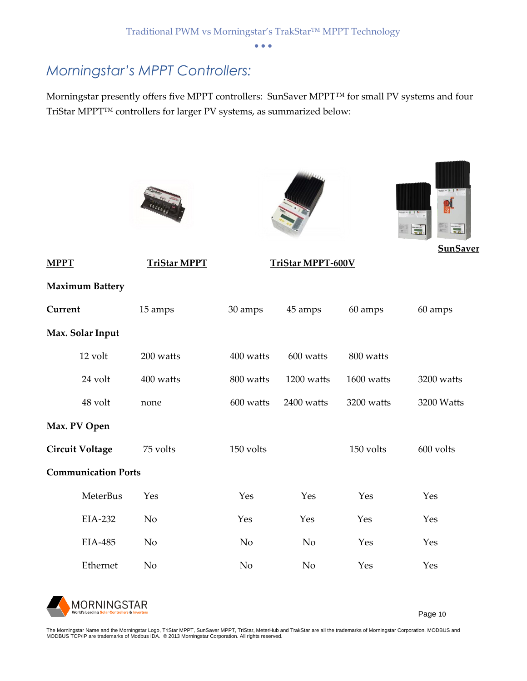#### *Morningstar's MPPT Controllers:*

Morningstar presently offers five MPPT controllers: SunSaver MPPT™ for small PV systems and four TriStar MPPT™ controllers for larger PV systems, as summarized below:







**SunSaver** 

| <b>MPPT</b>                |                        | <u> TriStar MPPT</u> | <b>TriStar MPPT-600V</b> |                |            |            |  |
|----------------------------|------------------------|----------------------|--------------------------|----------------|------------|------------|--|
|                            | <b>Maximum Battery</b> |                      |                          |                |            |            |  |
| Current                    |                        | 15 amps              | 30 amps                  | 45 amps        | 60 amps    | 60 amps    |  |
|                            | Max. Solar Input       |                      |                          |                |            |            |  |
|                            | 12 volt                | 200 watts            | 400 watts                | 600 watts      | 800 watts  |            |  |
|                            | 24 volt                | 400 watts            | 800 watts                | 1200 watts     | 1600 watts | 3200 watts |  |
|                            | 48 volt                | none                 | 600 watts                | 2400 watts     | 3200 watts | 3200 Watts |  |
| Max. PV Open               |                        |                      |                          |                |            |            |  |
|                            | <b>Circuit Voltage</b> | 75 volts             | 150 volts                |                | 150 volts  | 600 volts  |  |
| <b>Communication Ports</b> |                        |                      |                          |                |            |            |  |
|                            | MeterBus               | Yes                  | Yes                      | Yes            | Yes        | Yes        |  |
|                            | EIA-232                | No                   | Yes                      | Yes            | Yes        | Yes        |  |
|                            | EIA-485                | N <sub>o</sub>       | N <sub>o</sub>           | No             | Yes        | Yes        |  |
|                            | Ethernet               | No                   | N <sub>o</sub>           | N <sub>o</sub> | Yes        | Yes        |  |



Page 10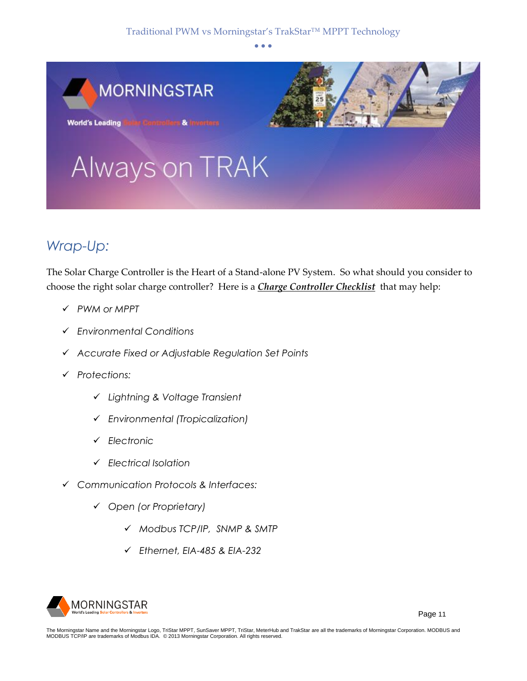

## *Wrap-Up:*

The Solar Charge Controller is the Heart of a Stand-alone PV System. So what should you consider to choose the right solar charge controller? Here is a *Charge Controller Checklist* that may help:

- ✓ *PWM or MPPT*
- ✓ *Environmental Conditions*
- ✓ *Accurate Fixed or Adjustable Regulation Set Points*
- ✓ *Protections:*
	- ✓ *Lightning & Voltage Transient*
	- ✓ *Environmental (Tropicalization)*
	- ✓ *Electronic*
	- ✓ *Electrical Isolation*
- ✓ *Communication Protocols & Interfaces:*
	- ✓ *Open (or Proprietary)*
		- ✓ *Modbus TCP/IP, SNMP & SMTP*
		- ✓ *Ethernet, EIA-485 & EIA-232*

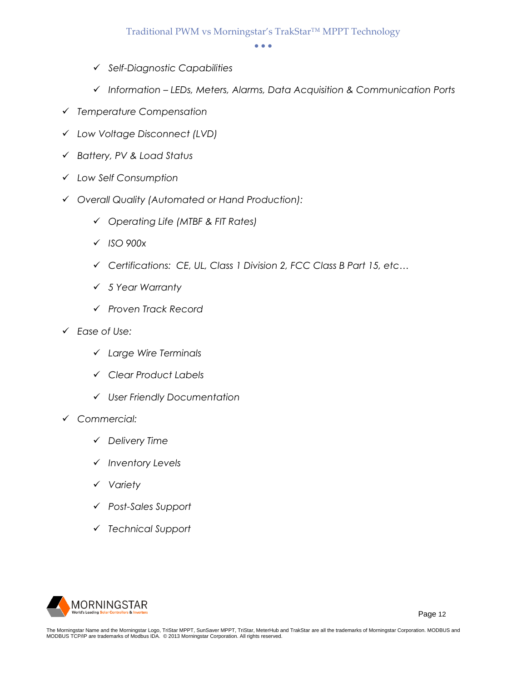- ✓ *Self-Diagnostic Capabilities*
- ✓ *Information – LEDs, Meters, Alarms, Data Acquisition & Communication Ports*
- ✓ *Temperature Compensation*
- ✓ *Low Voltage Disconnect (LVD)*
- ✓ *Battery, PV & Load Status*
- ✓ *Low Self Consumption*
- ✓ *Overall Quality (Automated or Hand Production):*
	- ✓ *Operating Life (MTBF & FIT Rates)*
	- ✓ *ISO 900x*
	- ✓ *Certifications: CE, UL, Class 1 Division 2, FCC Class B Part 15, etc…*
	- ✓ *5 Year Warranty*
	- ✓ *Proven Track Record*
- ✓ *Ease of Use:*
	- ✓ *Large Wire Terminals*
	- ✓ *Clear Product Labels*
	- ✓ *User Friendly Documentation*
- ✓ *Commercial:*
	- ✓ *Delivery Time*
	- ✓ *Inventory Levels*
	- ✓ *Variety*
	- ✓ *Post-Sales Support*
	- ✓ *Technical Support*



Page 12